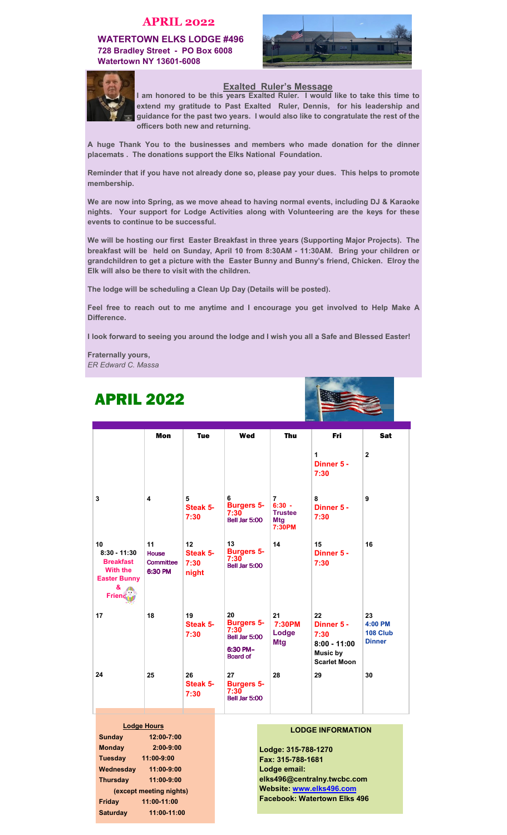### APRIL 2022

WATERTOWN ELKS LODGE #496 728 Bradley Street **-** PO Box 6008 Watertown NY 13601**-**6008





### Exalted Ruler's Message

I am honored to be this years Exalted Ruler. I would like to take this time to extend my gratitude to Past Exalted Ruler, Dennis, for his leadership and guidance for the past two years. I would also like to congratulate the rest of the officers both new and returning.

A huge Thank You to the businesses and members who made donation for the dinner placemats . The donations support the Elks National Foundation.

Reminder that if you have not already done so, please pay your dues. This helps to promote membership.

We are now into Spring, as we move ahead to having normal events, including DJ & Karaoke nights. Your support for Lodge Activities along with Volunteering are the keys for these events to continue to be successful.

We will be hosting our first Easter Breakfast in three years (Supporting Major Projects). The breakfast will be held on Sunday, April 10 from 8:30AM **-** 11:30AM. Bring your children or grandchildren to get a picture with the Easter Bunny and Bunny's friend, Chicken. Elroy the Elk will also be there to visit with the children.

The lodge will be scheduling a Clean Up Day (Details will be posted).

Feel free to reach out to me anytime and I encourage you get involved to Help Make A Difference.

I look forward to seeing you around the lodge and I wish you all a Safe and Blessed Easter!

Fraternally yours, ER Edward C. Massa

ARRIL 2000

Tuesday11:00**-**9:00 Wednesday11:00**-**9:00 Thursday11:00**-**9:00 (except meeting nights) Friday11:00**-**11:00 Saturday11:00**-**11:00

| AFML 4944                                                                                        |                                                   |                                 |                                                                                 |                                                                      |                                                                               |                                            |  |
|--------------------------------------------------------------------------------------------------|---------------------------------------------------|---------------------------------|---------------------------------------------------------------------------------|----------------------------------------------------------------------|-------------------------------------------------------------------------------|--------------------------------------------|--|
|                                                                                                  | <b>Mon</b>                                        | <b>Tue</b>                      | Wed                                                                             | <b>Thu</b>                                                           | Fri                                                                           | <b>Sat</b>                                 |  |
|                                                                                                  |                                                   |                                 |                                                                                 |                                                                      | 1<br>Dinner 5 -<br>7:30                                                       | $\mathbf{2}$                               |  |
| 3                                                                                                | 4                                                 | 5<br>Steak 5-<br>7:30           | 6<br><b>Burgers 5-</b><br>7:30<br>Bell Jar 5:00                                 | $\overline{7}$<br>$6:30 -$<br><b>Trustee</b><br><b>Mtg</b><br>7:30PM | 8<br>Dinner 5 -<br>7:30                                                       | 9                                          |  |
| 10<br>$8:30 - 11:30$<br><b>Breakfast</b><br><b>With the</b><br><b>Easter Bunny</b><br>&<br>Frien | 11<br><b>House</b><br><b>Committee</b><br>6:30 PM | 12<br>Steak 5-<br>7:30<br>night | 13<br><b>Burgers 5-</b><br>7:30<br>Bell Jar 5:00                                | 14                                                                   | 15<br>Dinner 5 -<br>7:30                                                      | 16                                         |  |
| 17                                                                                               | 18                                                | 19<br>Steak 5-<br>7:30          | 20<br><b>Burgers 5-</b><br>7:30<br>Bell Jar 5:00<br>6:30 PM-<br><b>Board of</b> | 21<br>7:30PM<br>Lodge<br><b>Mtg</b>                                  | 22<br>Dinner 5 -<br>7:30<br>$8:00 - 11:00$<br>Music by<br><b>Scarlet Moon</b> | 23<br>4:00 PM<br>108 Club<br><b>Dinner</b> |  |
| 24                                                                                               | 25                                                | 26<br>Steak 5-<br>7:30          | 27<br><b>Burgers 5-</b><br>7:30<br>Bell Jar 5:00                                | 28                                                                   | 29                                                                            | 30                                         |  |
|                                                                                                  | <b>Lodge Hours</b>                                |                                 |                                                                                 |                                                                      |                                                                               |                                            |  |
| <b>Sunday</b>                                                                                    | 12:00-7:00                                        |                                 |                                                                                 |                                                                      | <b>LODGE INFORMATION</b>                                                      |                                            |  |
| <b>Monday</b>                                                                                    | $2:00-9:00$                                       |                                 |                                                                                 | Lodge: 315-788-1270                                                  |                                                                               |                                            |  |

Lodge: 315**-**788**-**1270 Fax: 315**-**788**-**1681 Lodge email: elks496@centralny.twcbc.com Website: www.elks496.com Facebook: Watertown Elks 496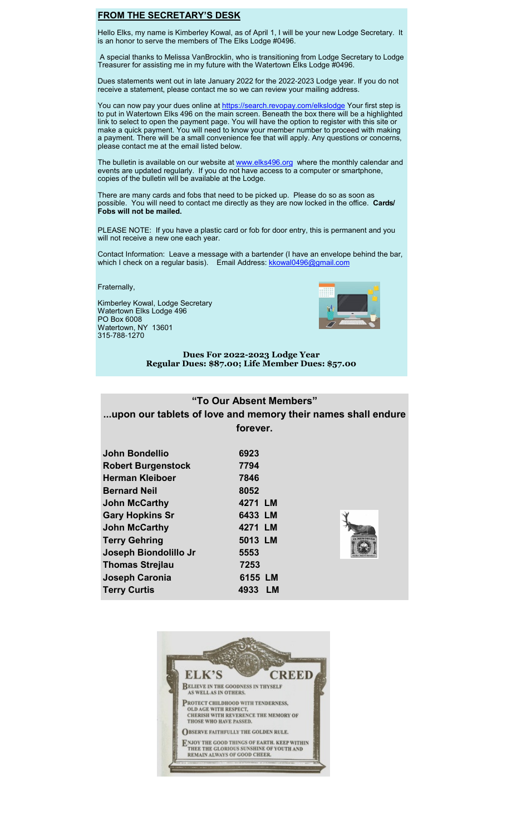### FROM THE SECRETARY'S DESK

Hello Elks, my name is Kimberley Kowal, as of April 1, I will be your new Lodge Secretary. It is an honor to serve the members of The Elks Lodge #0496.

 A special thanks to Melissa VanBrocklin, who is transitioning from Lodge Secretary to Lodge Treasurer for assisting me in my future with the Watertown Elks Lodge #0496.

Dues statements went out in late January 2022 for the 2022-2023 Lodge year. If you do not receive a statement, please contact me so we can review your mailing address.

You can now pay your dues online at https://search.revopay.com/elkslodge Your first step is to put in Watertown Elks 496 on the main screen. Beneath the box there will be a highlighted link to select to open the payment page. You will have the option to register with this site or make a quick payment. You will need to know your member number to proceed with making a payment. There will be a small convenience fee that will apply. Any questions or concerns, please contact me at the email listed below.

The bulletin is available on our website at www.elks496.org where the monthly calendar and events are updated regularly. If you do not have access to a computer or smartphone, copies of the bulletin will be available at the Lodge.

There are many cards and fobs that need to be picked up. Please do so as soon as possible. You will need to contact me directly as they are now locked in the office. Cards/ Fobs will not be mailed.

PLEASE NOTE: If you have a plastic card or fob for door entry, this is permanent and you will not receive a new one each year.

Contact Information: Leave a message with a bartender (I have an envelope behind the bar, which I check on a regular basis). Email Address: **kkowal0496@gmail.com** 

Fraternally,

Kimberley Kowal, Lodge Secretary Watertown Elks Lodge 496 PO Box 6008 Watertown, NY 13601 315-788-1270



Dues For 2022-2023 Lodge Year Regular Dues: \$87.00; Life Member Dues: \$57.00

# "To Our Absent Members"

# ...upon our tablets of love and memory their names shall endure forever.

| John Bondellio<br><b>Robert Burgenstock</b><br><b>Herman Kleiboer</b><br><b>Bernard Neil</b><br><b>John McCarthy</b><br><b>Gary Hopkins Sr</b><br><b>John McCarthy</b><br><b>Terry Gehring</b><br>Joseph Biondolillo Jr<br><b>Thomas Strejlau</b> | 6923<br>7794<br>7846<br>8052<br>4271 LM<br>6433 LM<br>4271 LM<br>5013 LM<br><b>EMORIA</b><br>5553<br>7253 |
|---------------------------------------------------------------------------------------------------------------------------------------------------------------------------------------------------------------------------------------------------|-----------------------------------------------------------------------------------------------------------|
|                                                                                                                                                                                                                                                   |                                                                                                           |
| Joseph Caronia<br><b>Terry Curtis</b>                                                                                                                                                                                                             | 6155 LM<br>4933<br>LМ                                                                                     |

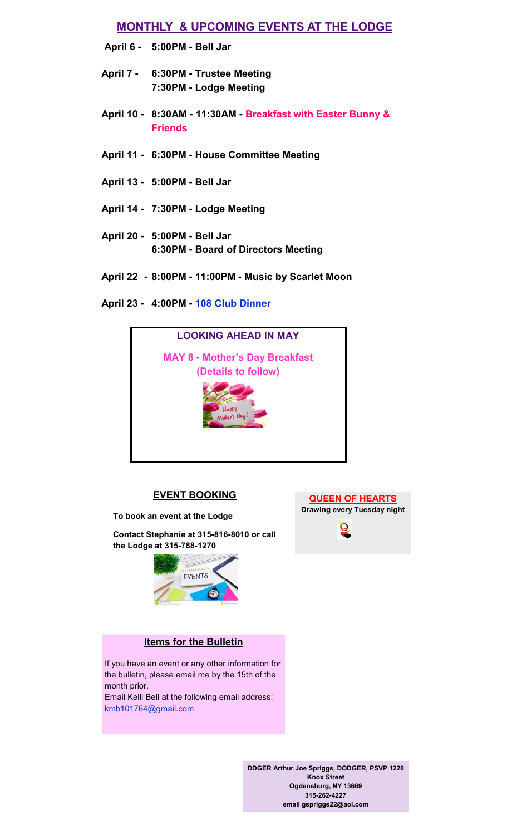# MONTHLY & UPCOMING EVENTS AT THE LODGE

- April 6 5:00PM **-** Bell Jar
- April 7 6:30PM **-** Trustee Meeting 7:30PM **-** Lodge Meeting
- April 10 8:30AM **-** 11:30AM **-** Breakfast with Easter Bunny & Friends
- April 11 **-** 6:30PM **-** House Committee Meeting
- April 13 5:00PM **-** Bell Jar
- April 14 **-** 7:30PM **-** Lodge Meeting
- April 20 5:00PM **-** Bell Jar 6:30PM **-** Board of Directors Meeting
- April 228:00PM **-** 11:00PM **-** Music by Scarlet Moon
- April 23 **-** 4:00PM **-** 108 Club Dinner



### EVENT BOOKING

To book an event at the Lodge

Contact Stephanie at 315**-**816**-**8010 or call the Lodge at 315**-**788**-**1270



# Items for the Bulletin

If you have an event or any other information for the bulletin, please email me by the 15th of the month prior. Email Kelli Bell at the following email address:

kmb101764@gmail.com





DDGER Arthur Joe Spriggs, DODGER, PSVP 1220 Knox Street Ogdensburg, NY 13669 315**-**262**-**4227 email gspriggs22@aol.com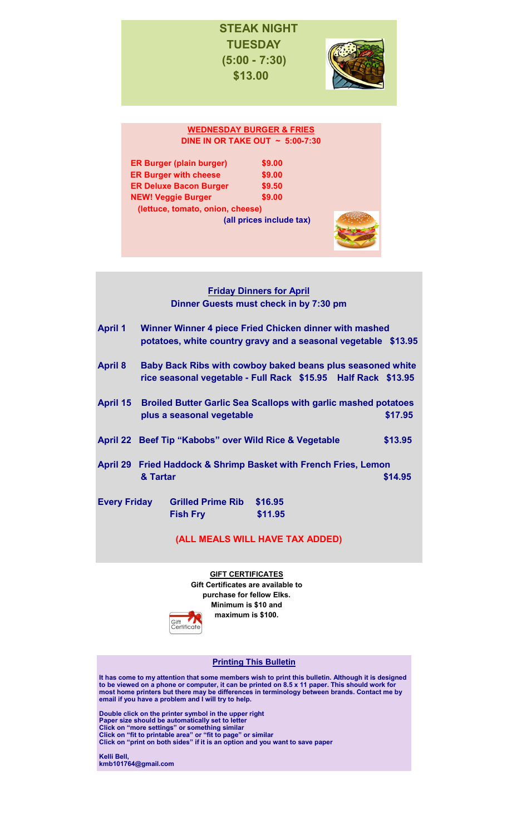# STEAK NIGHT **TUESDAY** (5:00 **-** 7:30) \$13.00



### WEDNESDAY BURGER & FRIES DINE IN OR TAKE OUT ~ 5:00**-**7:30

| <b>ER Burger (plain burger)</b>  | \$9.00 |
|----------------------------------|--------|
| <b>ER Burger with cheese</b>     | \$9.00 |
| <b>ER Deluxe Bacon Burger</b>    | \$9.50 |
| <b>NEW! Veggie Burger</b>        | \$9.00 |
| (lettuce, tomato, onion, cheese) |        |

(all prices include tax)



# **Friday Dinners for April** Dinner Guests must check in by 7:30 pm

April 1 Winner Winner 4 piece Fried Chicken dinner with mashed potatoes, white country gravy and a seasonal vegetable \$13.95 April 8 Baby Back Ribs with cowboy baked beans plus seasoned white rice seasonal vegetable **-** Full Rack \$15.95 Half Rack \$13.95 April 15 Broiled Butter Garlic Sea Scallops with garlic mashed potatoes plus a seasonal vegetable  $$17.95$ April 22 Beef Tip "Kabobs" over Wild Rice & Vegetable \$13.95 April 29 Fried Haddock & Shrimp Basket with French Fries, Lemon  **8. Tartar \$14.95 \$14.95** Every Friday Grilled Prime Rib \$16.95

# Fish Fry\$11.95

# (ALL MEALS WILL HAVE TAX ADDED)

**GIFT CERTIFICATES** Gift Certificates are available to purchase for fellow Elks. Minimum is \$10 and maximum is \$100.



#### Printing This Bulletin

It has come to my attention that some members wish to print this bulletin. Although it is designed to be viewed on a phone or computer, it can be printed on 8.5 x 11 paper. This should work for most home printers but there may be differences in terminology between brands. Contact me by email if you have a problem and I will try to help.

Double click on the printer symbol in the upper right Paper size should be automatically set to letter Click on "more settings" or something similar Click on "fit to printable area" or "fit to page" or similar Click on "print on both sides" if it is an option and you want to save paper

Kelli Bell, kmb101764@gmail.com